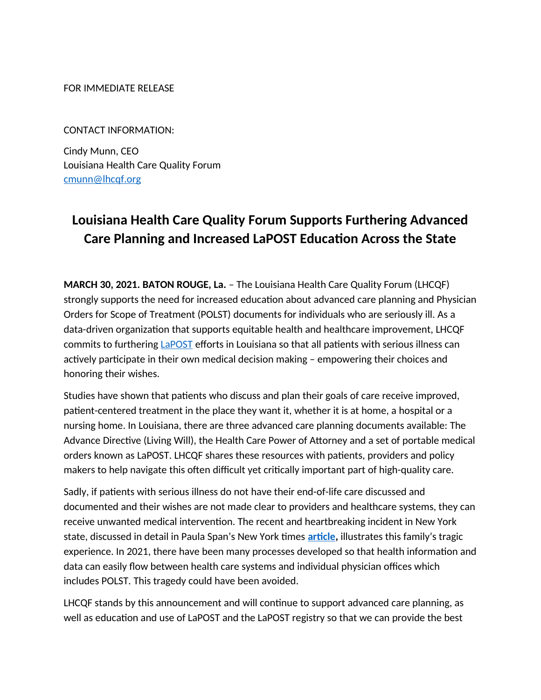FOR IMMEDIATE RELEASE

CONTACT INFORMATION:

Cindy Munn, CEO Louisiana Health Care Quality Forum [cmunn@lhcqf.org](mailto:cmunn@lhcqf.org)

## **Louisiana Health Care Quality Forum Supports Furthering Advanced Care Planning and Increased LaPOST Education Across the State**

**MARCH 30, 2021. BATON ROUGE, La.** – The Louisiana Health Care Quality Forum (LHCQF) strongly supports the need for increased education about advanced care planning and Physician Orders for Scope of Treatment (POLST) documents for individuals who are seriously ill. As a data-driven organization that supports equitable health and healthcare improvement, LHCQF commits to furthering [LaPOST](https://lhclapost.wpengine.com/) efforts in Louisiana so that all patients with serious illness can actively participate in their own medical decision making – empowering their choices and honoring their wishes.

Studies have shown that patients who discuss and plan their goals of care receive improved, patient-centered treatment in the place they want it, whether it is at home, a hospital or a nursing home. In Louisiana, there are three advanced care planning documents available: The Advance Directive (Living Will), the Health Care Power of Attorney and a set of portable medical orders known as LaPOST. LHCQF shares these resources with patients, providers and policy makers to help navigate this often difficult yet critically important part of high-quality care.

Sadly, if patients with serious illness do not have their end-of-life care discussed and documented and their wishes are not made clear to providers and healthcare systems, they can receive unwanted medical intervention. The recent and heartbreaking incident in New York state, discussed in detail in Paula Span's New York times **[article,](https://www.nytimes.com/2021/01/22/health/elderly-dnr-death-lawsuit.html)** illustrates this family's tragic experience. In 2021, there have been many processes developed so that health information and data can easily flow between health care systems and individual physician offices which includes POLST. This tragedy could have been avoided.

LHCQF stands by this announcement and will continue to support advanced care planning, as well as education and use of LaPOST and the LaPOST registry so that we can provide the best